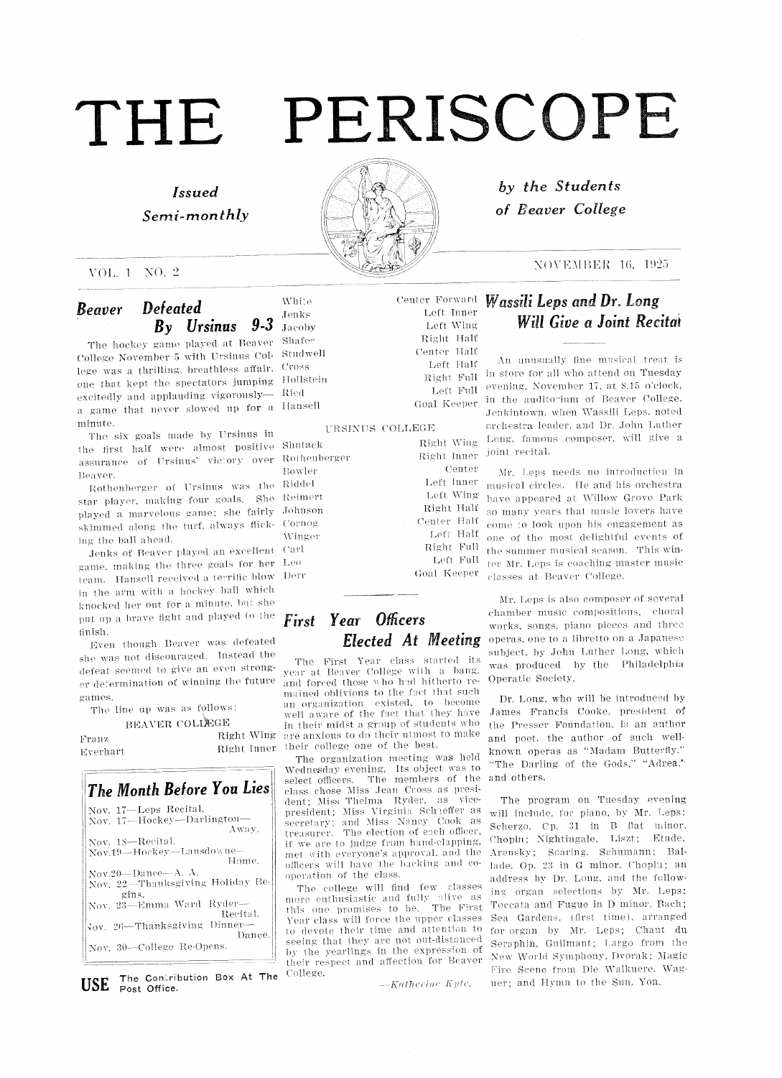## Issued Semi-monthly



by the Students of Beaver College

#### $\text{NOVEMBER } 16, 1925$

## Beaver Defeated By Ursinus 9-3

VOL 1 NO. 2

The hockey game played at Beaver Shafe The notaty game played at the college November 5 with Ursinus Col-Studwell conese indicated by what creating corrections are expected to the second through the control of the control of the second through the second of the control of the second to the second of the second of the second of the sec one that kept the spectators jumping Hollstein xcitedly and applauding vigorously— Ried game that never slowed up for a Hansel minute.

The six goals made by Ursinus in the first half were almost positive Shuta assurance of Ursinus' victory over Rothenberger Beaver

aver.<br>Rothenberger of Ursinus was the Ridde star player, making four goals. She Reime: played a marvelous game; she fairly skimmed along the turf, always flicking the hail ahead

Jenks of Beaver played an excellent Carl game, making the three goals for her Leo team. Hansell received a terrific blow in the arm with a hockey ball which knocked her out for a minute, but she put up a brave fight and played to the finish.

Even though Beaver was defeated she was not discouraged. Instead the defeat seemed to give an even stronger determination of winning the future gaines

The line up was as follows:

BEAVER COLLEGE

Franz Right Wing Everhart Right Inner



The Contribution Box At The USE Post Office.

White Jemiks Jacob

#### URSINUS COLLEGE

Left Full Goal Keeper Bowler Johnson Cornog \Vinger

## First Year Officers Elected At Meeting

The First Year class started its year at Beaver College with a bang, and forced those who had hitherto remained oblivious to the fact that such an organization existed, to become well aware of the fact that they have in their midst a group of students who are anxious to do their utmost to make their college one of the best.

The organization meeting was held Wednesday evening. Its object was to<br>select officers. The members of the The members of the class chose Miss Jean Cross as president: Miss Thelma Ryder, as vicedent; Miss Thelma Ryder, as president; Miss Virginia Schaeffer as secretary; and Miss Nancy Cook a<br>treasurer. The election of each officer treasurer. The election of each officer,<br>if we are to judge from hand-clapping, met with everyone's approval, and the officers will have the backing and cooperation of the class.

The college will find few classes more enthusiastic and fully alive as<br>this one promises to be. The Firs this one promises to be. The First<br>Year class will force the upper classes to devote their time and attention to seeing that they are not out-distanced by the yearlings in the expression of their respect and affection for Beaver College.

 $-Katherine$  Kyte.

Wassili Leps and Dr. Long Will Give a Joint Recital

An unusually fine musical treat is Right Full in store for all who attend on Tuesday evening, November 17, at 8.15 o'clock, in the auditorium of Beaver College, Jenkintown, when Wassili Leps, noted erchestra leader, and Dr. John Luther Long, famous composer, will give a  $\,$  joint  $\,$  recital.

> Mr. Leps needs no introduction in musical circles. He and his orchestra have appeared at Willow Grove Park so many years that music lovers have come to look upon his engagement as one of the most delightful eyents of the summer musical season. This winter Mr. Leps is coaching master music classes at Beaver College.

Mr. Leps is also composer of several chamber music compositions, choral works, songs, piano pieces and three operas, one to a libretto on a Japanese subject, by John Luther Long, which was produced by the Philadelphia Operatic Society

Dr. Long, who will be introduced by James Francis Cooke, president of the Presser Foundation, is an author and poet, the author of such wellknown operas as "Madam Butterfly." "The Darling of the Gods," "Adrea," and others

The program on Tuesday evening will include, for piano, by Mr. Leps: Scherzo, Cp. 31 in B flat minor, Chopin: Nightingale, Liszt; Etude, Arensky; Scaring, Schumann; Ballade, Op. 23 in G minor, Chopin; an address by Dr. Long, and the following organ selections by Mr. Leps: Toccata and Fugue in D minor, Bach; Sea Gardens, (first time), arranged for organ by Mr. Leps; Chant du Seraphin, Guilmant; Largo from the New World Symphony, Dvorak; Magic Fire Scene from Die Walkuere, Wagner; and Hymn to the Sun, Yon.

Right \Ving Right Inner Center Left Inner Left \Ving Right Half Center Half Left Half Right Full

Center Forward Lett Tuner Left Wing Right Half Center Half Left Half

> Left Full  $\,$ Goal Keeper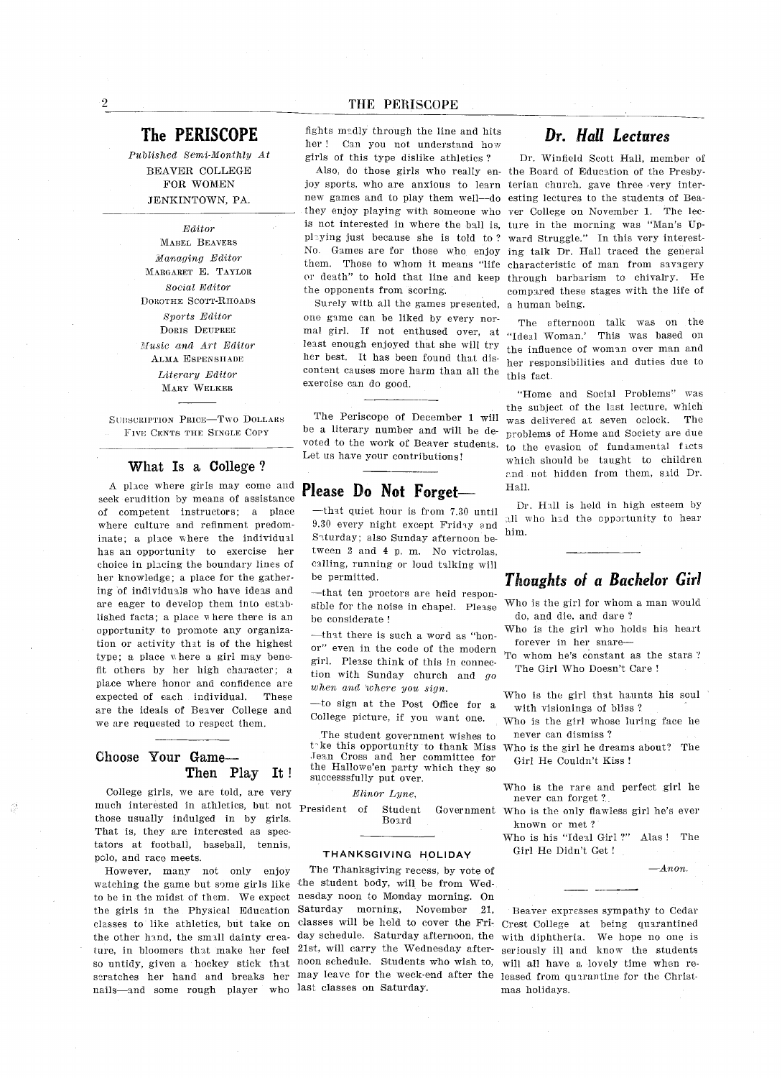## The PERISCOPE

Published Semi-Monthly At BEAVER COLLEGE FOR WOMEN JENKINTOWN, PA.

Editor MABEL BEAVERS Managing Editor MARGARET E. TAYLOR Social Editor DOROTHE SCOTT-RHOADS Sports Editor DORIS DEUPREE Music and Art Editor ALMA E5PEN5HADE Literary Editor MARY WELKER

SUBSCRIPTION PRICE-Two DOLLARS FIVE CENTS THE SINGLE COPY

#### What Is a College?

place where girls may come and seek erudition by means ot assistance of competent instructors: a place where culture and refinment predom inate; a place where the individual has an opportunity to exercise her choice in pLacing the boundary lines of her knowledge; a place for the gathering of individuals who have ideas and are eager to develop them into estab lished facts; a place  $\bar{w}$  here there is an opportunity to promote any organiza tion or activity that is of the highest type; a place where a girl may benefit others by her high character; a place where honor and confidence are expected of each individual. These are the ideals of Beaver College and we are requested to respect them.

#### Choose Your Game Then Play It

College girls, we are told, are very much interested in athletics, but not President of Student Governmen those usually indulged in by girls That is, they are interested as spectators at football, baseball, tennis, polo, and race meets.

However, many not only enjoy watching the game but some girls like the student body, will be from Wed to be in the midst of them. We expect the girls in the Physical Education Saturday morning, November 21 ture, in bloomers that make her feel 21st, will carry the Wednesday after so untidy, given a hockey stick that noon-schedule. Students who wish to nails—and some rough player who last classes on Saturday

fights madly through the line and hits her! Can you not understand how girls of this type dislike athletics

joy sports, who are anxious to learn terian church, gave three very inter new games and to play them well—do esting lectures to the students of Bea they enjoy playing with someone who ver College on November 1. The lec is not interested in where the ball is, ture in the morning was "Man's Up playing just because she is told to? No Games are for those who enjoy them. Those to whom it means "life characteristic of man from savager or death" to hold that line and keep through barbarism to chivalry. He the opponents from scoring

Surely with all the games presented, a human being one game can be liked by every nor mal girl. If not enthused over, at "Ideal Woman.' This was based on least enough enjoyed that she will try her best. It has been found that discontent causes more harm than all the exercise can do good

The Periscope of December 1 will be a literary number and will be devoted to the work of Beaver students Let us have your contributions

## Please Do Not Forget-**Hall**.

that quiet hour is from 7.30 until 9.30 every night except Friday and Saturday; also Sunday afternoon between  $2$  and  $4$  p.m. No victrolas, calling, running or loud talking will be permitted

-that ten proctors are held responsible for the noise in chapel. Please be considerate

-that there is such a word as "honor" even in the code of the modern girl. Please think of this in connection with Sunday church and go when and where you sign.

 $-t$ o sign at the Post Office for a College picture, if you want one.

The student government wishes to t-ke this opportunity to thank Miss Jean Cross and her committee for the Hallowe'en party which they so successsfully put over

#### Elinor Lyne

Board

#### THANKSGIVING HOLIDAY

classes to like athletics, but take on classes will be held to cover the Fri- Crest College at being quarantined the other hand, the small dainty crea-day schedule. Saturday afternoon, the with diphtheria. We hope no one is scratches her hand and breaks her may leave for the week-end after the leased from quarantine for the Christ The Thanksgiving recess, by vote of nesday noon to Monday morning. On

## Dr. Hall Lectures

Also, do those girls who really en- the Board of Education of the Presby-Dr. Winfield Scott Hall, member of ward Struggle." In this very interesting talk Dr. Hall traced the general compared these stages with the life of

> The afternoon talk was on the the influence of woman over man and her responsibilities and duties due to this fact

> "Home and Social Problems" was the subject of the last lecture, which was delivered at seven oclock The problems of Home and Society are due to the evasion of fundamental facts which should be taught to children and not hidden from them, said Dr.

Dr. Hall is held in high esteem by all who had the opportunity to hear him

## Thoughts of a Bachelor Girl

Who is the girl for whom a man would do, and die, and dare?

Who is the girl who holds his heart forever in her snare

To whom he's constant as the stars? The Girl Who Doesn't Care!

Who is the girl that haunts his soul with visionings of bliss?

Who is the girl whose luring face he never can dismiss

Who is the girl he dreams about? The Girl He Couldn't Kiss!

Who is the rare and perfect girl he never can forget

Government Who is the only flawless girl he's ever known or met

> Who is his "Ideal Girl ?" Alas ! The Girl He Didn't Get!

> > $-Anon.$

Beaver expresses sympathy to Cedar seriously ill and know the students will all have a lovely time when remas holidays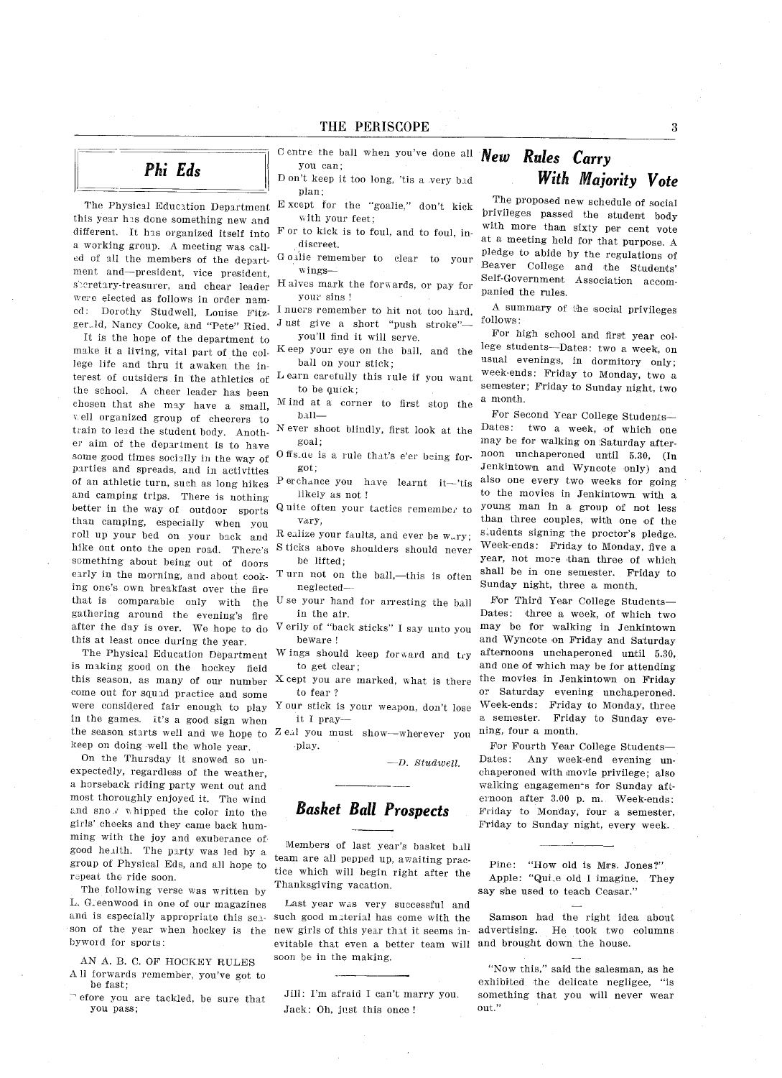## Phi Eds

The Physical Education Department this year has dcne something new and different. It has organized itself into a working group. A meeting was called of all the members of the depart ment and-president, vice president, speretary-treasurer, and chear leader were elected as follows in order nam ed: Dorothy Studwell, Louise Fitzger.1d, Nancy Cooke, and "Pete" Ried.

It is the hope of the department to make it a living, vital part of the college life and thru it awaken the in terest of outsiders in the athletics of the school. A cheer leader has been chosen that she may have a small, well organized group of cheerers to train to lead the student body. Another aim of the department is to have some good times socially in the way of parties and spreads, and in activities of an athletic turn, such as long hikes and camping trips. There is nothing better in the way of outdoor sports than camping, especially when you roll up your bed on your back and hike out onto the open road. There's scmething about being out of doors early in the morning, and about cooking one's own breakfast over the fire that is comparable only with the gathering around the evening's fire after the day is over. We hope to do this at least once during the year

The Physical Education Department is making good on the hockey field this season, as many of our number come out for squad practice and some were considered fair enough to play in the games. It's a good sign when the season starts well and we hope to keep on doing well the whole year

On the Thursday it snowed so un expectedly, regardless of the weather. horseback riding party went out and most thoroughly enjoyed it. The wind and sno  $\sqrt{ }$  whipped the color into the girls' cheeks and they came back humming with the joy and exuberance of good health. The party was led by a group of Physical Eds, and all hope to rapeat the ride soon.

The following verse was written by L. Greenwood in one of our magazines and is especially appropriate this sea son of the year when hockey is the new girls of this year that it seems inbyword for sports

AN A. B. C. OF HOCKEY RULES All forwards remember, you've got to be fast

efore you are tackled, be sure that you pass

entre the ball when you've done all  $New$  Rules Carry you can

D on't keep it too long, 'tis a very bad plan:

Except for the "goalie," don't kick with your feet

F or to kick is to foul, and to foul, indiscreet

Goalie remember to clear to your wings

Halves mark the forwards, or pay for your sins

I nners remember to hit not too hard,  $\frac{A \text{ suL}}{I}$ <br>Just give a short "push stroke"— follows:

you'll find it will serve.

Keep your eye on the ball, and the ball on your stick

earn carefully this rule if you want to be quick:

M ind at a corner to first stop the ball

N ever shoot blindly, first look at the goal

Offs.de is a rule that's e'er being forgot

Perchance you have learnt it-'tis likely as not

Quite often your tactics remember to vary

R ealize your faults, and ever be  $w_{\mu}ry$ ;<br>S ticks above shoulders should never be lifted:

Turn not on the ball,-this is often neglected

U se your hand for arresting the ball in the air

V erily of "back sticks" I say unto you beware

Wings should keep forward and try to get clear

X cept you are marked, what is there to fear

Your stick is your weapon, don't lose it pray

Zeal you must show-wherever you play

 $-D.$  Studwell.

Basket Ball Prospects

Members of last year's basket ball team are all pepped up, awaiting practice which will begin right after the Thanksgiving vacation

Last year was very successful and such good material has come with the evitable that even a better team will and brought down the house soon be in the making.

## With Majority Vote

The proposed new schedule of social brivileges passed the student body with more than sixty per cent vote at a meeting held for that purpose. A pledge to abide by the regulations of Beaver College and the Students Sclf.Government Association accom panied the rules

summary of the social privileges

For high school and first year col lege students-Dates: two a week, on usual evenings, in dormitory only; week-ends: Friday to Monday, two a semester; Friday to Sunday night, two a month.

For Second Year College Students Dates: two a week, of which one may be for walking on Saturday after noon unchaperoned until 5.30, (In Jenkintown and Wyncote only) and also one every two weeks for going to the movies in Jenkintown with a young man in group of not loss than three couples, with one of the students signing the proctor's pledge. Week-ends: Friday to Monday, five a year, not more than three of which shall be in one semester. Friday to Sunday night, three a month.

For Third Year College Students Dates: three a week, of which two may be for walking in Jenkintown and Wyncote on Friday and Saturday afternoons unchaperoned until 5.30 and one of which may be for attending the movies in Jenkintown on Friday or Saturday evening unchaperoned. Week-ends: Friday to Monday, three a semester. Friday to Sunday evening, four a month.

For Fourth Year College Students Dates: Any week-end evening unchaperoned with movie privilege; also walking engagements for Sunday afternoon after 3.00 p.m. Week-ends: Friday to Monday, four a semester, Friday to Sunday night, every week.

Pine: "How old is Mrs. Jones?" Apple: "Qui.e old I imagine. They say she used to teach Ceasar."

Samson had the right idea about advertising. He took two columns

"Now this," said the salesman, as he exhibited the delicate negligee, "is something that you will never wear out."

Jill: I'm afraid I can't marry you. Jack: Oh, just this once!

 $\boldsymbol{3}$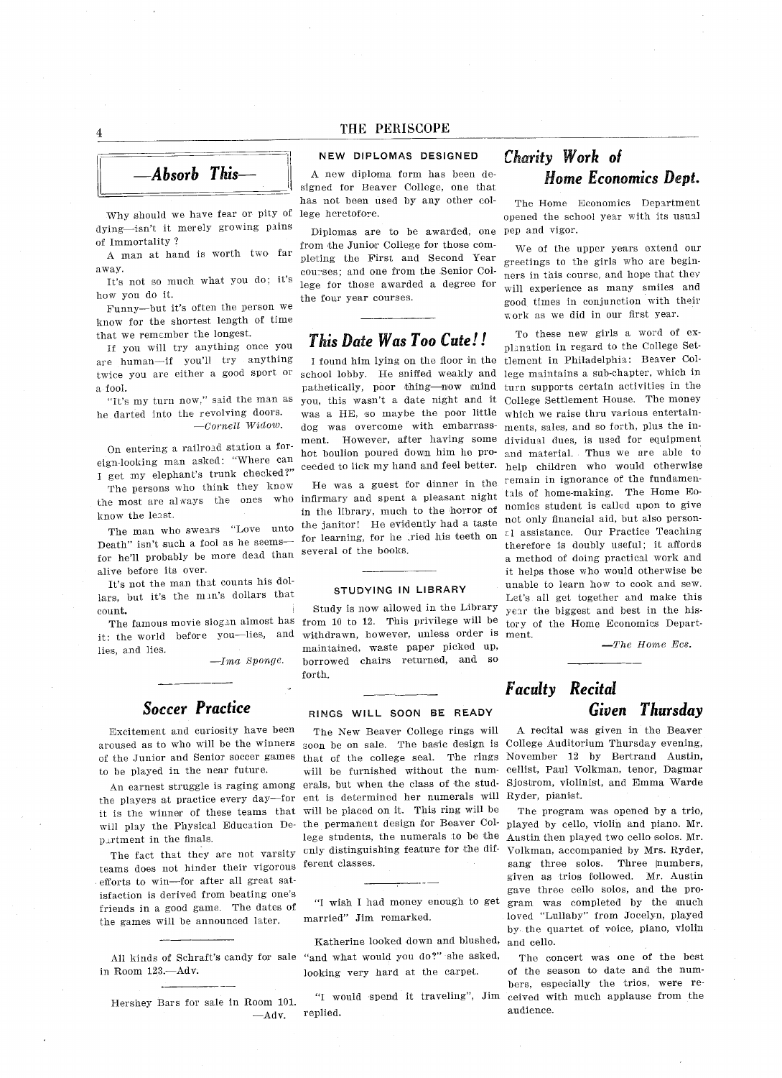

Why should we have fear or pity of lege heretofor dying-isn't it merely growing pains of Immortality

man at hand is worth two far away

It's not so much what you do, it's how you do it

Funny-but it's often the person we know for the shortest length of time that we remember the longest

If you will try auything once you are human-if you'll try anything twice you are either a good sport or a fool.

"It's my turn now," said the man as he darted into the revolving doors  $—Cornell$  Widow.

On entering a railroad station a foreign-looking man asked: "Where can I get my elephant's trunk checked?"

The persons who think they know the most are always the ones who know the least

The man who swears "Love unto Death" isn't such a fool as he seemsfor hell probably be more dead than alive before its over

It's not the man that counts his dollars, but it's the man's dollars that count

it: the world before you-lies, and lies, and lies.

 $-Ima$  Sponge.

## Soccer Practice

Excitement and curiosity have been arcused as to who will be the winners of the Junior and Senior soccer games to be played in the near future

An earnest struggle is raging among the players at practice every day-for will play the Physical Education De partment in the finals

The fact that they are not varsity teams does not hinder their vigorous efforts to win-for after all great satisfaction is derived from beating one's friends in a good game. The dates of the games will be announced later

in Room 123 .- Adv.

Hershey Bars for sale in Room <sup>101</sup>

#### NEW DIPLOMAS DESIGNED

A new diploma form has been designed for Beaver College, one that has not been used by any other col

Diplomas are to be awarded, one from the Junior College for those com pleting the First and Second Year courses; and one from the Senior College for those awarded a degree for the four year courses.

### This Date Was Too Cute

found him lying on the floor in the school lobby. He sniffed weakly and pathetically, poor thing—now mind turn supports certain activities in the you, this wasn't a date night and it was a HE, so maybe the poor little dog was overcome with embarrass ment. However, after having some hot boulion poured down him he pro ceeded to lick my hand and feel better. help children who would otherwis

He was guest for dinner in the infirmary and spent a pleasant night in the library, much to the horror of the janitor! He evidently had a taste for learning, for he Tried his teeth on several of the books

#### STUDYING IN LIBRARY

The famous movie slogan almost has from <sup>10</sup> to <sup>12</sup> This privilege will be Study is now allowed in the Library withdrawn, however, unless order is maintained, waste paper picked up, borrowed chairs returned, and so forth

#### RINGS WILL SOON BE READY

Interpretent at practice every day for the is determined for half-contractions it is the winner of these teams that will be placed on it. This ring will be The New Beaver College rings will soon be on sale. The basic design is College Auditorium Thursday evening that of the college seal. The rings will be furnished without the numerals, but when the class of the student is determined her numerals will the permanent design for Beaver Col- played by cello, violin and piano. Mr. lege students, the numerals to be the cnly distinguishing feature for the dif ferent classes

married" Jim remarked.

All kinds of Schraft's candy for sale "and what would you do?" she asked Katherine looked down and blushed looking very hard at the carpet

 $-\mathrm{Adv}$  replied.

## Charity Work of Home Economics Dept

The Home Economics Department opened the school year with its usual pep and vigor

We of the upper years extend our greetings to the girls who are begin ners in this course, and hope that they will experience as many smiles and good times in conjunction with their ork as we did in our first year

To these new girls a word of explanation in regard to the College Set tlement in Philadelphia: Beaver College maintains a sub-chapter, which in College Settlement House. The money which we raise thru various entertainments, sales, and so forth, plus the individual dues, is used for equipment and material. Thus we are able to remain in ignorance of the fundamentals of home-making. The Home Eonomics student is called npon to give not only financial aid, but also person- $\varepsilon$ l assistance. Our Practice Teaching therefore is doubly useful; it affords method of doing practical work and it helps those who would otherwise be unable to learn how to cook and sew Let's all get together and make this year the biggest and best in the his tory of the Home Economics Depart ment

 $\equiv$ The Home Ecs.

## Faculty Recital Given Thursday

recital was given in the Beaver November <sup>12</sup> by Bertrand Austin cellist, Paul Volkman, tenor, Dagmar Sjostrom, violinist, and Emma Warde Ryder, pianist.

The program was opened by a trio, Austin then played two cello solos. Mr. Volkman, accompanied by Mrs. Ryder, sang three solos. Three numbers, given as trios followed. Mr. Austin gave three cello solos, and the pro-"I wish I had money enough to get gram was completed by the much loved "Lullaby" from Jocelyn, played by the quartet of voice, piano, violin and cello

The concert was one of the best of the season to date and the num bers, especially the trios, were re-"I would spend it traveling", Jim ceived with much applause from the audience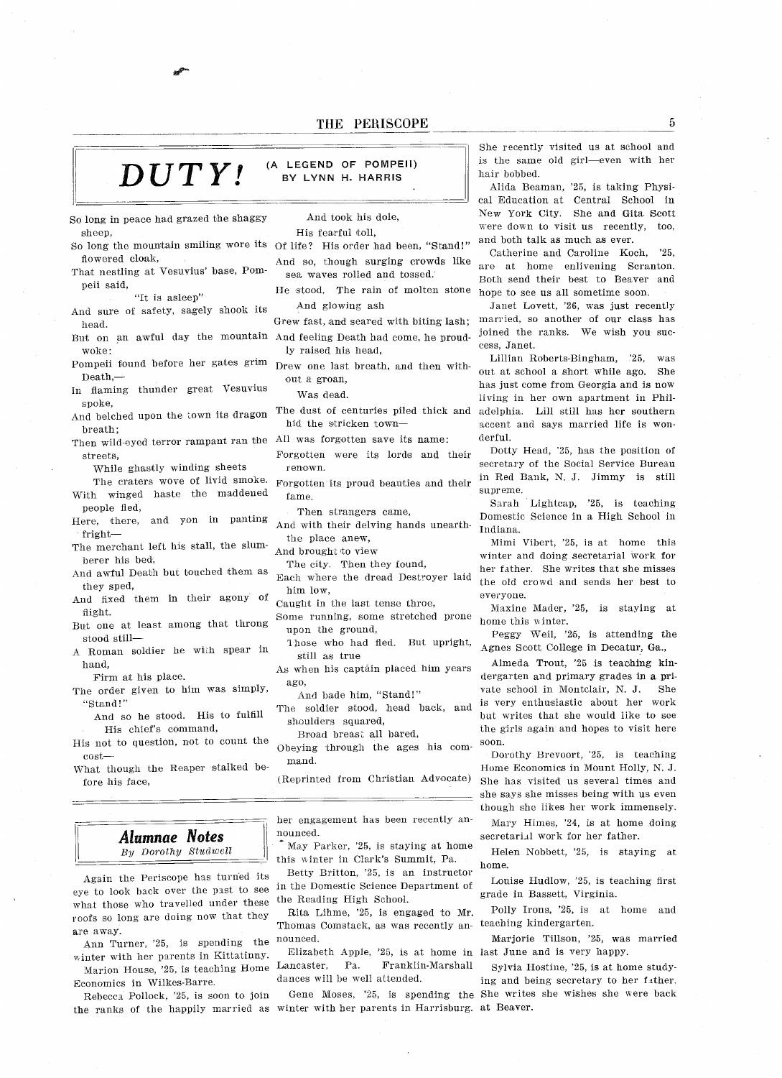#### DUTY! (A LEGEND OF POMPEII) BY LYNN H. HARRIS

So long in peace had grazed the shaggy sheep

- So long the mountain smiling wore its Of life? His order had been, "Stand! flowered cloak
- That nestling at Vesuvius' base, Pompeii said

"It is asleep"

- And sure of safety, sagely shook its head
- woke
- Pompeii found before her gates grim Drew one last breath, and then with Death
- In flaming thunder great Vesuvius spoke
- And belched upon the town its dragon breath
- Then wild-eyed terror rampant ran the All was forgotten save its name streets
	- While ghastly winding sheets
- The craters wove of livid smoke. With winged haste the maddened people fled
- Here, there, and yon in panting fright
- The merchant left his stall, the slumberer his bed
- And awful Death but touched them as they sped
- And fixed them in their agony of flight.
- But one at least among that throng stood still
- Roman soldier he with spear in hand

Firm at his place

- The order given to him was simply, "Stand!"
	- And so he stood. His to fulfill His chief's command,
- His not to question, not to count the cost
- What though the Reaper stalked be fore his face

### Alumnae Notes  $\|\cdot\|$  nounced.  $By$  Dorothy Studwell

Again the Periscope has turned its eye to look back over the past to see what those who travelled under these the Reading High Schoo roofs so long are doing now that they are away

Ann Turner, '25, is spending the winter with her parents in Kittatinny

Economics in Wilkes-Barre Rebecca Pollock, '25, is soon to join

the ranks of the happily married as winter with her parents in Harrisburg at Beaver

And took his dole.

His fearful toll

- And so, though surging crowds like sea waves rolled and tossed
- He stood. The rain of molten stone And glowing ash
- Grew fast, and seared with biting lash;
- But on an awful day the mountain And feeling Death had come, he proud ly raised his head
	-
	- out a groan,

Was dead

The dust of centuries piled thick and hid the stricken town

- Forgotten were its lords and their renown
- Forgotten its proud beauties and their fame
	- Then strangers came.
- And with their delving hands unearththe place anew

And brought to view

The city. Then they found,

- Each where the dread Destroyer laid him low
- Caught in the last tense throe,
- Some running, some stretched prone upon the ground
- Those who had fled. But upright, still as true
- As when his captain placed him years
	- ago,<br>And bade him, "Stand!"
- The soldier stood, head back, and shoulders squared,

Broad breast all bared

Obeying through the ages his com mand

Reprinted from Christian Advocate

her engagement has been recently an-

this winter in Clark's Summit, Pa. home. May Parker, '25, is staying at home

Betty Britton, '25, is an instructor in the Domestic Science Department of

Rita Lihme, '25, is engaged to Mr. Thomas Comstack, as was recently an- teaching kindergarte nounced

Marion House, 25, is teaching Home Lancaster, Pa. Franklin-Mars Elizabeth Apple, '25, is at home in last June and is very happy dances will be well attended

Gene Moses, '25, is spending the She writes she wishes she were bac

She recently visited us at school and is the same old girl-even with her hair bobbed.

Alida Beaman, '25, is taking Physical Education at Central School in New York City. She and Gita Scott were down to visit us recently, too. and both talk as much as ever.

Catherine and Caroline Koch. '25. are at home enlivening Scranton Beth send their best to Beaver and hope to see us all sometime soon.

Janet Lovett, '26, was just recently married, so another of our class has joined the ranks. We wish you success. Janet.

Lillian Roberts-Bingham, '25, was out at school a short while ago. She has just come from Georgia and is new living in her own apartment in Philadelphia. Lill still has her southern accent and says married life is won derful

Dotty Head, '25, has the position of secretary ef the Social Service Bureau in Red Bank, N. J. Jimmy is still supreme

Sarah Lightcap, '25, is teaching Domestic Science in a High School in Indiana

Mimi Vibert, '25, is at home this winter and doing secretarial work for her father. She writes that she misses the old crowd and sends her best to everyone

Maxine Mader, '25, is staying at home this winter

Peggy Weil, '25, is attending the Agnes Scott College in Decatur, Ga.,

Almeda Trout, '25 is teaching kindergarten and primary grades in a private school in Montclair, N. J. She is very enthusiastic about her werk but writes that she would like to see the girls again and hopes to visit here soon.

Dorothy Brevoort, '25, is teaching Home Economics in Mount Holly, N. J. She has visited us several times and she says she misses being with us even though she likes her work immensely

Mary Himes, '24, is at home doing secretarial work for her father

Helen Nobbett, '25, is staying at

Louise Hudlow, '25, is teaching first grade in Bassett, Virginia.

Polly Irons, '25, is at home and

Marjorie Tillson, '25, was married

Sylvia Hostine, '25, is at home studying and being secretary to her father

5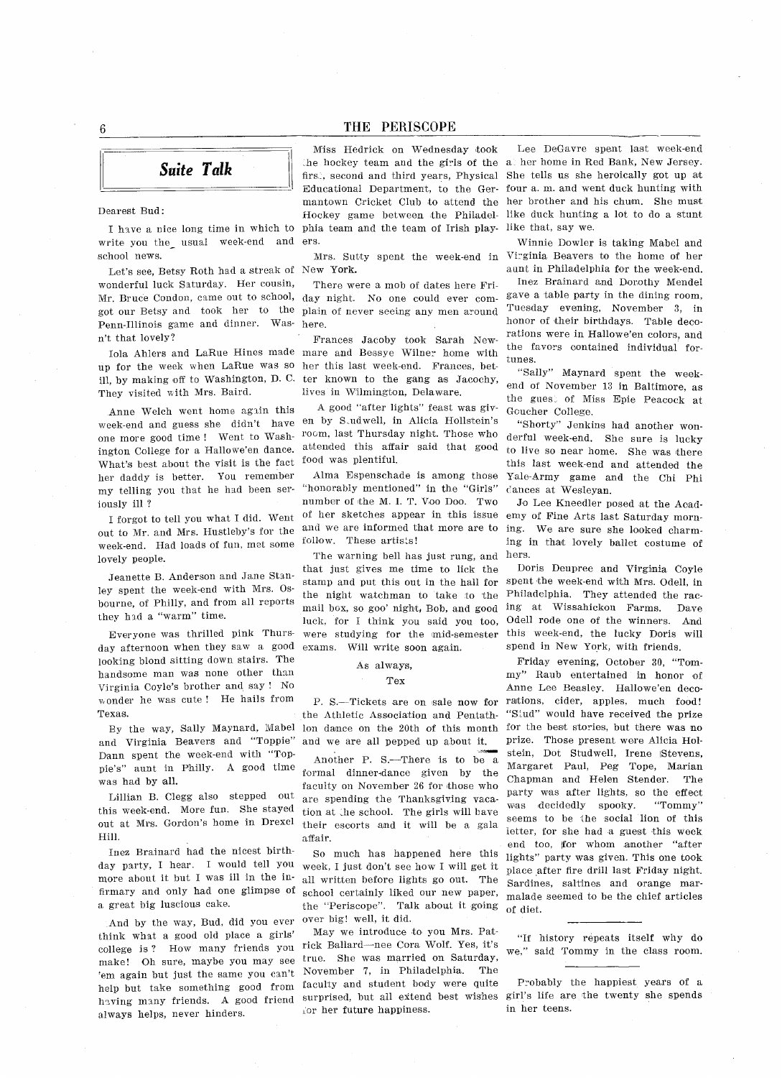Suite Talk

#### Dearest Bud

I have a nice long time in which to write you tho nsual week-end and ers school news

Let's see, Betsy Roth had a streak of New York wonderful luck Saturday. Her cousin, Mr. Bruce Condon, came out to school, day night. No one could ever com got our Betsy and took her to the Penn-Illinois game and dinner. Wasn't that lovely?

lola Ahlers and LaRne Hines made up for the week when LaRue was so ill, by making off to Washington, D. C. ter known to the gang as Jacochy They visited with Mrs. Baird.

Anne Welch went home again this week-end and guess she didn't have en by Sudwell, in Alicia Hollstein one more good time! Went to Washington College for a Hallowe'en dance. What's best about the visit is the fact her daddy is better. You remember my telling you that he had been ser iously ill

I forgot to tell you what I did. Went out to Mr. and Mrs. Hustleby's for the week-end. Had loads of fun, met some lovely people.

Jeanette B. Anderson and Jane Stanley spent the week-end with Mrs. Osbourne, of Philly, and from all reports they had a "warm" time.

Everyone was thrilled pink Thurs day afternoon when they saw a good looking blond sitting down stairs. The handsome man was none other than Virginia Coyle's brother and say ! No wonder he was cute! He hails from Texas

By the way, Sally Maynard, Mabel and Virginia Beavers and "Toppie" Dann spent the week-end with "Toppie's" aunt in Philly. A good time was had by all.

Lillian B. Clegg also stepped out this week-end. More fun. She stayed out at Mrs. Gordon's home in Drexel Hill

Inez Brainard had the nicest birth day party, I hear. I would tell you more about it but I was ill in the infirmary and only had one glimpse of a great big luscious cake.

And by the way, Bud, did you ever think what a good old place a girls' college is ? How many friends you make! Oh sure, maybe you may see 'em again but just the same you can't help but take something good from having many friends. A good friend always helps, never hinders.

Miss Hedrick on Wednesday took he hockey team and the girls of the all her home in Red Bank, New Jersey firs., second and third years, Physical She tells us she heroically got up at Educational Department, to the Ger-four a.m. and went duck hunting with mantown Cricket Club to attend the her brother and his chum. She must Hockey game between the Philadel- like duck hunting a lot to do a stun phia team and the team of Irish play-like that, say we

There were a mob of dates here Friplain of never seeing any men around here

Frances Jaceby took Sarah Newmare and Bessye Wilner home with her this last week-end. Frances, betlives in Wilmington, Delaware.

A good "after lights" feast was givroom, last Thursday night. Those who attended this affair said that good food was plentiful.

Alma Espenschade is among those "honorably mentioned" in the "Girls" number of the M. I. T. Voo Doo. Two ef her sketches appear in this issue and we are informed that more are to follow. These artists!

The warning bell has just rung, and hers. that just gives me time to lick the stamp and put this out in the hall for the night watchman to take to the mail box, so goo' night, Bob, and good luck, for I think you said you too, were studying for the mid-semester exams. Will write soon again.

#### As always,

#### Tex

the Athletic Association and Pentath lon dance on the 20th of this month for the best stories, but there was no and we are all pepped up about it

Another P. S.-There is to be a formal dinner-dance given by the faculty on November 26 for those who are spending the Thanksgiving vaca tion at the school. The girls will have their escorts and it will be a gala affair

So much has happened here this week. I just don't see how I will get it all written before lights go out. The school certainly liked our new paper the "Periscope". Talk about it going over big! well, it did.

May we introduce to you Mrs. Patrick Ballard-nee Cora Wolf. Yes, it's true. She was married on Saturday, November 7, in Philadelphia. The faculty and student body were quite surprised, but all extend best wishes girl's life are the twenty she spend for her future happiness.

Lee DeGavre spent last week-end

Mrs. Sutty spent the week-end in Virginia Beavers to the home of her Winnie Dewier is taking Mabel and aunt in Philadelphia for the week-end

Inez Brainard and Dorothy Mendel gave a table party in the dining room, Tuesday evening, November 3, in honor of their birthdays. Table decorations were in Hallowe'en colors, and the favors contained individual fortunes

"Sally" Maynard spent the weekend of November 13 in Baltimore, as the guest of Miss Epie Peacock at Geucher College

"Shorty" Jenkins had another wonderful week-end. She sure is lucky to live so near home. She was there this inst week-end and attended the Yale-Army game and the Chi Phi dances at Wesleyan.

Jo Lee Kneedler posed at the Academy of Fine Arts last Saturday morn ing. We are sure she looked charming in that lovely ballet costume of

Doris Deupree and Virginia Coyle spent the week-end with Mrs. Odell, in Philadelphia. They attended the racing at Wissahickon Farms. Dave Odell rode one of the winners. And this week-end, the lucky Doris will spend in New York, with friends.

S.—Tickets are on sale now for rations, cider, apples, much food Friday evening, October 30, "Tommy" Raub entertained in honor of Anne Lee Beasley. Hallowe'en deco-"Stud" would have received the prize prize. Those present were Alicia Holstein, Dot Studwell, Irene Stevens, Margaret Paul, Peg Tope, Marian Chapman and Helen Stender. The party was after lights, so the effect was decidedly spooky. "Tommy" seems to be the social lion of this letter, for she had a guest this week end too, for whom another "after lights" party was given. This one took place after fire drill last Friday night Sardines saltines and orange mar malade seemed to be the chief articles of diet

> "If history repeats itself why do we," said Tommy in the class room.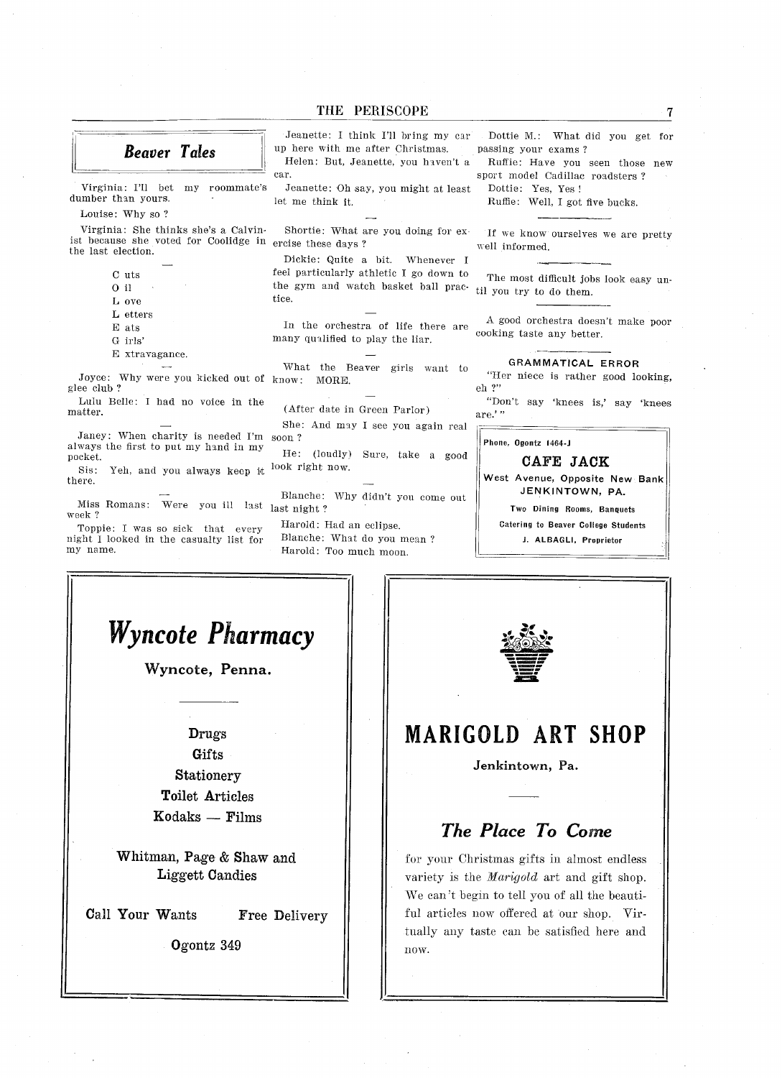Beaver Tales

dumber than yours. The let me think it.

Louise: Why so ?

Virginia: She thinks she's a Calvinist because she voted for Coolidge in ercise these days the last election

- $C$ uts
- $0$  il
- L ove
- L etters
- ats
- G irls'
- E xtravagance.

Joyce: Why were you kicked out of know: MORE glee club

Lulu Belle: I had no voice in the matter

Janey: When charity is needed I'm soon always the first to put my hand in my pocket

Sis: Yeh, and you always keep it there

Miss Romans: Were you ill last last night week

Toppie: I was so sick that every night looked in the casualty list for my name

car Jeanette: I think I'll bring my car Dottie M.: What did you get for up here with me after Christmas. passing your exams? Helen: But, Jeanette, you haven't a Ruffie: Have you seen those new

Virginia: I'll bet my roommate's Jeanette: Oh say, you might at least

Shortie: What are you doing for ex-

Dickie: Quite a bit. Whenever I feel particularly athletic I go down to the gym and watch basket ball prac tice

In the orchestra of life there are many qualified to play the liar

What the Beaver girls want to

After date in Green Parlor

She: And may I see you again rea

He: (loudly) Sure, take a goo look right now

Blanche: Why didn't you come out

Harold: Had an eclipse. Blanche: What do you mean? Harold: Too much moon.

sport model Cadillac roadsters Dottie: Yes, Yes!

Ruffle: Well, I got five bucks.

If we know ourselves we are pretty well informed

The most difficult jobs look easy un til you try to do them

A good orchestra doesn't make poor cooking taste any better

GRAMMATICAL ERROR

"Her niece is rather good looking, eh

"Don't say 'knees is,' say 'knees are.'"

Phone, Ogontz 1464-J

#### CAFE JACK

West Avenue, Opposite New Bank JENKINTOWN, PA.

Two Dining Rooms, Banquets

Catering to Beaver College Students

J. ALBAGLI, Proprietor



Whitman, Page  $&$  Shaw and Liggett Candies

Call Your Wants Free Delivery

**Ogontz** 349  $\|\cdot\|_{\text{now}}$ 



## MARIGOLD ART SHOP

Jenkintown, Pa.

## The Place To Come

for your Christmas gifts in almost endless variety is the *Marigold* art and gift shop. We can't begin to tell you of all the beautiful articles now offered at our shop. Virtually any taste can be satisfied here and  $\overline{7}$